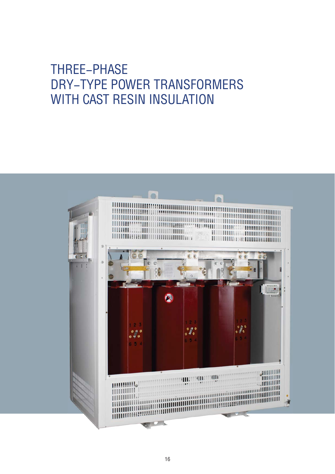# THREE-PHASE DRY-TYPE POWER TRANSFORMERS WITH CAST RESIN INSULATION

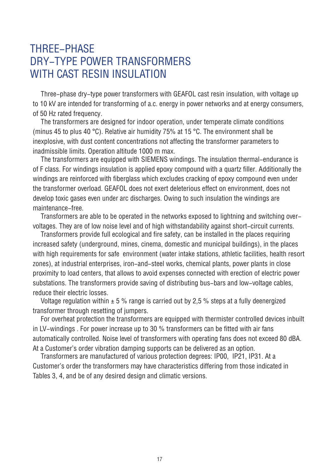### THREE-PHASE DRY-TYPE POWER TRANSFORMERS WITH CAST RESIN INSULATION

Three–phase dry–type power transformers with GEAFOL cast resin insulation, with voltage up to 10 kV are intended for transforming of a.c. energy in power networks and at energy consumers, of 50 Hz rated frequency.

The transformers are designed for indoor operation, under temperate climate conditions (minus 45 to plus 40 °С). Relative air humidity 75% at 15 °С. The environment shall be inexplosive, with dust content concentrations not affecting the transformer parameters to inadmissible limits. Operation altitude 1000 m max.

The transformers are equipped with SIEMENS windings. The insulation thermal-endurance is of F class. For windings insulation is applied epoxy compound with a quartz filler. Additionally the windings are reinforced with fiberglass which excludes cracking of epoxy compound even under the transformer overload. GEAFOL does not exert deleterious effect on environment, does not develop toxic gases even under arc discharges. Owing to such insulation the windings are maintenance-free.

Transformers are able to be operated in the networks exposed to lightning and switching overvoltages. They are of low noise level and of high withstandability against short-circuit currents.

Transformers provide full ecological and fire safety, can be installed in the places requiring increased safety (underground, mines, cinema, domestic and municipal buildings), in the places with high requirements for safe environment (water intake stations, athletic facilities, health resort zones), at industrial enterprises, iron-and-steel works, chemical plants, power plants in close proximity to load centers, that allows to avoid expenses connected with erection of electric power substations. The transformers provide saving of distributing bus-bars and low-voltage cables, reduce their electric losses.

Voltage regulation within  $\pm$  5 % range is carried out by 2,5 % steps at a fully deenergized transformer through resetting of jumpers.

For overheat protection the transformers are equipped with thermister controlled devices inbuilt in LV-windings . For power increase up to 30 % transformers can be fitted with air fans automatically controlled. Noise level of transformers with operating fans does not exceed 80 dBA. At a Customer's order vibration damping supports can be delivered as an option.

Transformers are manufactured of various protection degrees: IР00, IР21, IР31. At a Customer's order the transformers may have characteristics differing from those indicated in Tables 3, 4, and be of any desired design and climatic versions.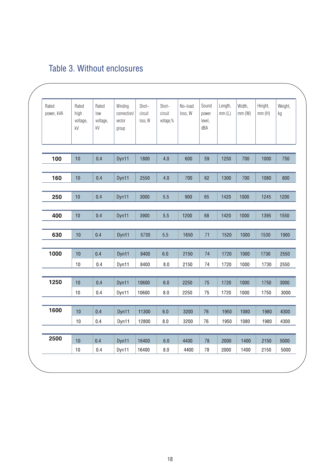| Rated<br>power, kVA | Rated<br>high<br>voltage,<br>kV | Rated<br>low<br>voltage,<br>kV | Winding<br>connection/<br>vector<br>group | Short-<br>circuit<br>loss, W | Short-<br>circuit<br>voltage,% | No-load<br>loss, W | Sound<br>power<br>level,<br>dBA | Length,<br>mm(L) | Width,<br>mm(W) | Height,<br>mm(H) | Weight,<br>kg |
|---------------------|---------------------------------|--------------------------------|-------------------------------------------|------------------------------|--------------------------------|--------------------|---------------------------------|------------------|-----------------|------------------|---------------|
| 100                 | 10                              | 0.4                            | Dyn11                                     | 1800                         | 4.0                            | 600                | 59                              | 1250             | 700             | 1000             | 750           |
| 160                 | 10                              | 0.4                            | Dyn11                                     | 2550                         | 4.0                            | 700                | 62                              | 1300             | 700             | 1080             | 800           |
| 250                 | 10                              | 0.4                            | Dyn11                                     | 3000                         | 5.5                            | 900                | 65                              | 1420             | 1000            | 1245             | 1200          |
| 400                 | 10                              | 0.4                            | Dyn11                                     | 3900                         | 5.5                            | 1200               | 68                              | 1420             | 1000            | 1395             | 1550          |
| 630                 | 10                              | 0.4                            | Dyn11                                     | 5730                         | 5.5                            | 1650               | 71                              | 1520             | 1000            | 1530             | 1900          |
| 1000                | 10<br>10                        | 0.4<br>0.4                     | Dyn11<br>Dyn11                            | 8400<br>8400                 | 6.0<br>$8.0\,$                 | 2150<br>2150       | 74<br>74                        | 1720<br>1720     | 1000<br>1000    | 1730<br>1730     | 2550<br>2550  |
|                     |                                 |                                |                                           |                              |                                |                    |                                 |                  |                 |                  |               |
| 1250                | 10<br>10                        | 0.4<br>0.4                     | Dyn11<br>Dyn11                            | 10600<br>10600               | 6.0<br>8.0                     | 2250<br>2250       | 75<br>75                        | 1720<br>1720     | 1000<br>1000    | 1750<br>1750     | 3000<br>3000  |
| 1600                | 10                              | 0.4                            | Dyn11                                     | 11300                        | 6.0                            | 3200               | $76\,$                          | 1950             | 1080            | 1980             | 4300          |
|                     | 10                              | 0.4                            | Dyn11                                     | 12800                        | 8.0                            | 3200               | 76                              | 1950             | 1080            | 1980             | 4300          |
| 2500                | 10                              | 0.4                            | Dyn11                                     | 16400                        | $6.0\,$                        | 4400               | 78                              | 2000             | 1400            | 2150             | 5000          |
|                     | 10                              | 0.4                            | Dyn11                                     | 16400                        | 8.0                            | 4400               | 78                              | 2000             | 1400            | 2150             | 5000          |

#### Table 3. Without enclosures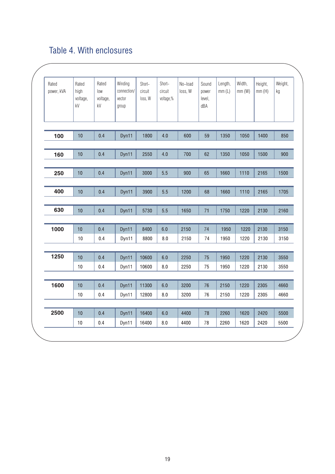#### Table 4. With enclosures

| Rated<br>power, kVA | Rated<br>high<br>voltage,<br>kV | Rated<br>low<br>voltage,<br>kV | Winding<br>connection/<br>vector<br>group | Short-<br>circuit<br>loss, W | Short-<br>circuit<br>voltage,% | No-load<br>loss, W | Sound<br>power<br>level,<br>dBA | Length,<br>mm(L) | Width,<br>mm(W) | Height,<br>mm(H) | Weight,<br>kg |
|---------------------|---------------------------------|--------------------------------|-------------------------------------------|------------------------------|--------------------------------|--------------------|---------------------------------|------------------|-----------------|------------------|---------------|
| 100                 | 10                              | 0.4                            | Dyn11                                     | 1800                         | 4.0                            | 600                | 59                              | 1350             | 1050            | 1400             | 850           |
| 160                 | 10                              | 0.4                            | Dyn11                                     | 2550                         | 4.0                            | 700                | 62                              | 1350             | 1050            | 1500             | 900           |
| 250                 | 10                              | 0.4                            | Dyn11                                     | 3000                         | 5.5                            | 900                | 65                              | 1660             | 1110            | 2165             | 1500          |
| 400                 | 10                              | 0.4                            | Dyn11                                     | 3900                         | 5.5                            | 1200               | 68                              | 1660             | 1110            | 2165             | 1705          |
| 630                 | 10                              | 0.4                            | Dyn11                                     | 5730                         | 5.5                            | 1650               | 71                              | 1750             | 1220            | 2130             | 2160          |
| 1000                | 10<br>10                        | 0.4<br>0.4                     | Dyn11<br>Dyn11                            | 8400<br>8800                 | 6.0<br>8.0                     | 2150<br>2150       | 74<br>74                        | 1950<br>1950     | 1220<br>1220    | 2130<br>2130     | 3150<br>3150  |
|                     |                                 |                                |                                           |                              |                                |                    |                                 |                  |                 |                  |               |
| 1250                | 10<br>10                        | 0.4<br>0.4                     | Dyn11<br>Dyn11                            | 10600<br>10600               | $6.0\,$<br>8.0                 | 2250<br>2250       | 75<br>75                        | 1950<br>1950     | 1220<br>1220    | 2130<br>2130     | 3550<br>3550  |
| 1600                | 10<br>10                        | 0.4<br>0.4                     | Dyn11<br>Dyn11                            | 11300<br>12800               | 6.0<br>$8.0\,$                 | 3200<br>3200       | 76<br>76                        | 2150<br>2150     | 1220<br>1220    | 2305<br>2305     | 4660<br>4660  |
|                     |                                 |                                |                                           |                              |                                |                    |                                 |                  |                 |                  |               |
| 2500                | 10<br>10                        | 0.4<br>0.4                     | Dyn11<br>Dyn11                            | 16400<br>16400               | 6.0<br>$8.0\,$                 | 4400<br>4400       | 78<br>78                        | 2260<br>2260     | 1620<br>1620    | 2420<br>2420     | 5500<br>5500  |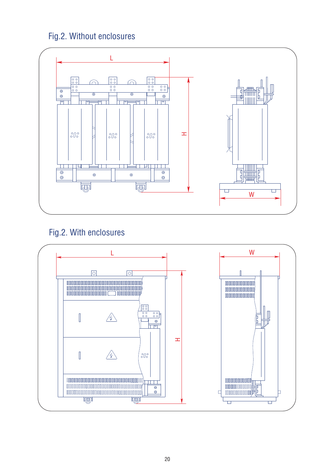#### Fig.2. Without enclosures



#### Fig.2. With enclosures